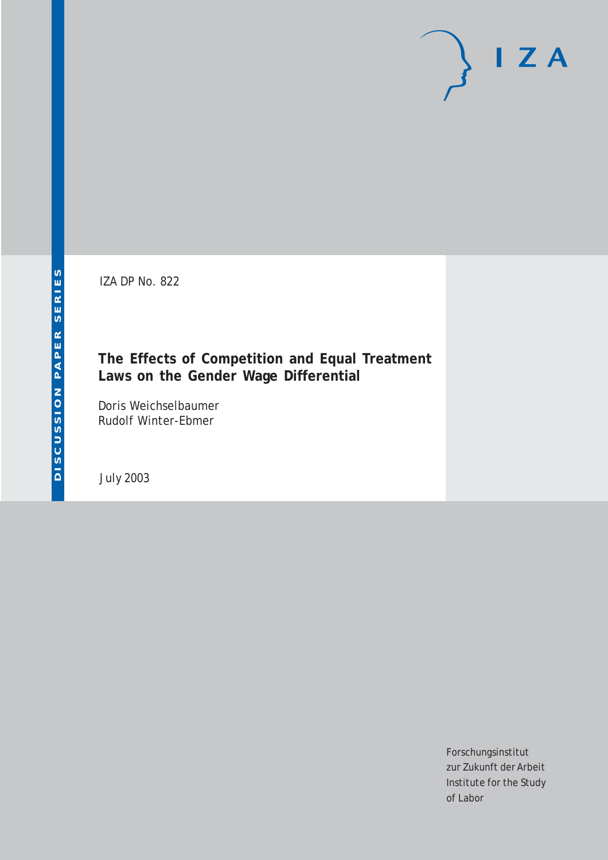IZA DP No. 822

# **The Effects of Competition and Equal Treatment Laws on the Gender Wage Differential**

Doris Weichselbaumer Rudolf Winter-Ebmer

July 2003

Forschungsinstitut zur Zukunft der Arbeit Institute for the Study of Labor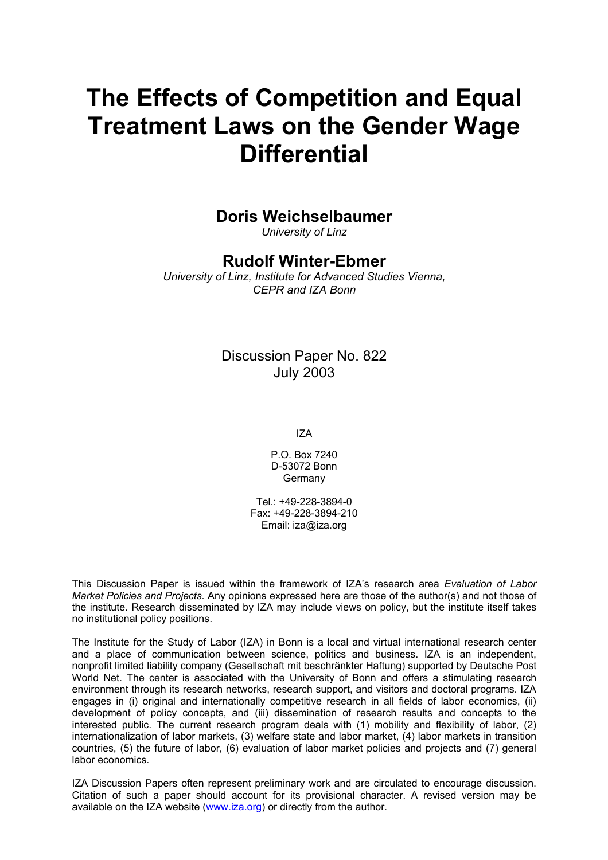# **The Effects of Competition and Equal Treatment Laws on the Gender Wage Differential**

### **Doris Weichselbaumer**

*University of Linz* 

# **Rudolf Winter-Ebmer**

*University of Linz, Institute for Advanced Studies Vienna, CEPR and IZA Bonn*

## Discussion Paper No. 822 July 2003

IZA

P.O. Box 7240 D-53072 Bonn Germany

Tel.: +49-228-3894-0 Fax: +49-228-3894-210 Email: [iza@iza.org](mailto:iza@iza.org)

This Discussion Paper is issued within the framework of IZA's research area *Evaluation of Labor Market Policies and Projects.* Any opinions expressed here are those of the author(s) and not those of the institute. Research disseminated by IZA may include views on policy, but the institute itself takes no institutional policy positions.

The Institute for the Study of Labor (IZA) in Bonn is a local and virtual international research center and a place of communication between science, politics and business. IZA is an independent, nonprofit limited liability company (Gesellschaft mit beschränkter Haftung) supported by Deutsche Post World Net. The center is associated with the University of Bonn and offers a stimulating research environment through its research networks, research support, and visitors and doctoral programs. IZA engages in (i) original and internationally competitive research in all fields of labor economics, (ii) development of policy concepts, and (iii) dissemination of research results and concepts to the interested public. The current research program deals with (1) mobility and flexibility of labor, (2) internationalization of labor markets, (3) welfare state and labor market, (4) labor markets in transition countries, (5) the future of labor, (6) evaluation of labor market policies and projects and (7) general labor economics.

IZA Discussion Papers often represent preliminary work and are circulated to encourage discussion. Citation of such a paper should account for its provisional character. A revised version may be available on the IZA website ([www.iza.org](http://www.iza.org/)) or directly from the author.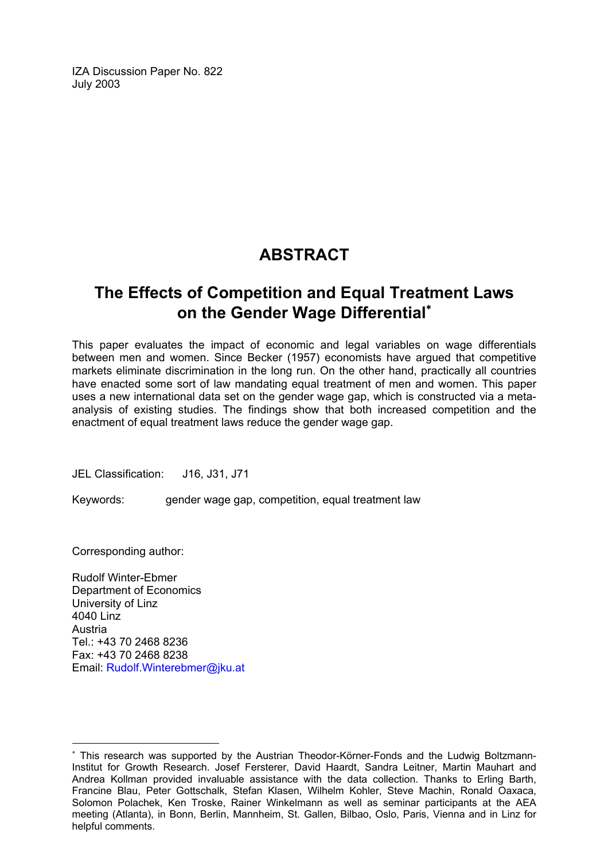IZA Discussion Paper No. 822 July 2003

# **ABSTRACT**

# **The Effects of Competition and Equal Treatment Laws on the Gender Wage Differential**[∗](#page-2-0)

This paper evaluates the impact of economic and legal variables on wage differentials between men and women. Since Becker (1957) economists have argued that competitive markets eliminate discrimination in the long run. On the other hand, practically all countries have enacted some sort of law mandating equal treatment of men and women. This paper uses a new international data set on the gender wage gap, which is constructed via a metaanalysis of existing studies. The findings show that both increased competition and the enactment of equal treatment laws reduce the gender wage gap.

JEL Classification: J16, J31, J71

Keywords: gender wage gap, competition, equal treatment law

Corresponding author:

 $\overline{a}$ 

Rudolf Winter-Ebmer Department of Economics University of Linz 4040 Linz Austria Tel.: +43 70 2468 8236 Fax: +43 70 2468 8238 Email: [Rudolf.Winterebmer@jku.at](mailto:Rudolf.Winterebmer@jku.at)

<span id="page-2-0"></span><sup>∗</sup> This research was supported by the Austrian Theodor-Körner-Fonds and the Ludwig Boltzmann-Institut for Growth Research. Josef Fersterer, David Haardt, Sandra Leitner, Martin Mauhart and Andrea Kollman provided invaluable assistance with the data collection. Thanks to Erling Barth, Francine Blau, Peter Gottschalk, Stefan Klasen, Wilhelm Kohler, Steve Machin, Ronald Oaxaca, Solomon Polachek, Ken Troske, Rainer Winkelmann as well as seminar participants at the AEA meeting (Atlanta), in Bonn, Berlin, Mannheim, St. Gallen, Bilbao, Oslo, Paris, Vienna and in Linz for helpful comments.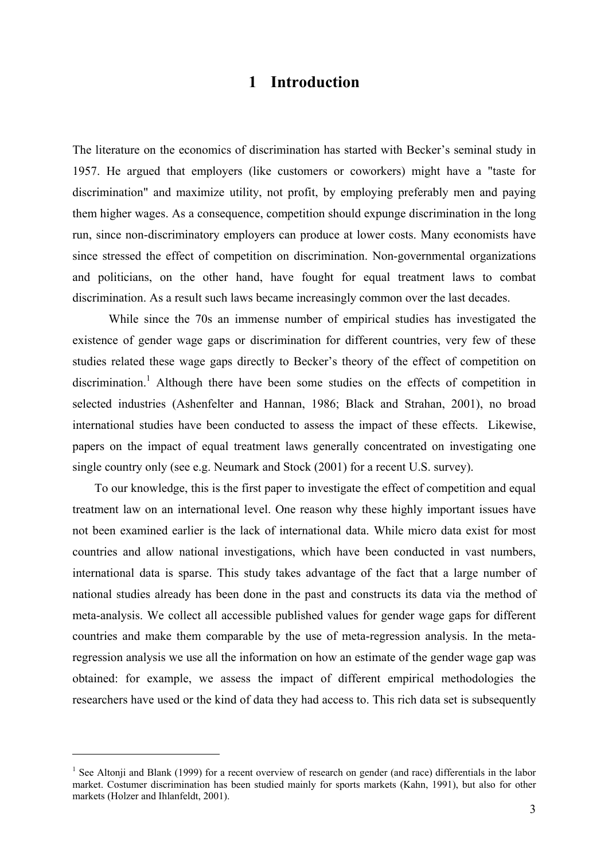## **1 Introduction**

The literature on the economics of discrimination has started with Becker's seminal study in 1957. He argued that employers (like customers or coworkers) might have a "taste for discrimination" and maximize utility, not profit, by employing preferably men and paying them higher wages. As a consequence, competition should expunge discrimination in the long run, since non-discriminatory employers can produce at lower costs. Many economists have since stressed the effect of competition on discrimination. Non-governmental organizations and politicians, on the other hand, have fought for equal treatment laws to combat discrimination. As a result such laws became increasingly common over the last decades.

While since the 70s an immense number of empirical studies has investigated the existence of gender wage gaps or discrimination for different countries, very few of these studies related these wage gaps directly to Becker's theory of the effect of competition on discrimination.<sup>1</sup> Although there have been some studies on the effects of competition in selected industries (Ashenfelter and Hannan, 1986; Black and Strahan, 2001), no broad international studies have been conducted to assess the impact of these effects. Likewise, papers on the impact of equal treatment laws generally concentrated on investigating one single country only (see e.g. Neumark and Stock (2001) for a recent U.S. survey).

To our knowledge, this is the first paper to investigate the effect of competition and equal treatment law on an international level. One reason why these highly important issues have not been examined earlier is the lack of international data. While micro data exist for most countries and allow national investigations, which have been conducted in vast numbers, international data is sparse. This study takes advantage of the fact that a large number of national studies already has been done in the past and constructs its data via the method of meta-analysis. We collect all accessible published values for gender wage gaps for different countries and make them comparable by the use of meta-regression analysis. In the metaregression analysis we use all the information on how an estimate of the gender wage gap was obtained: for example, we assess the impact of different empirical methodologies the researchers have used or the kind of data they had access to. This rich data set is subsequently

<sup>&</sup>lt;sup>1</sup> See Altonji and Blank (1999) for a recent overview of research on gender (and race) differentials in the labor market. Costumer discrimination has been studied mainly for sports markets (Kahn, 1991), but also for other markets (Holzer and Ihlanfeldt, 2001).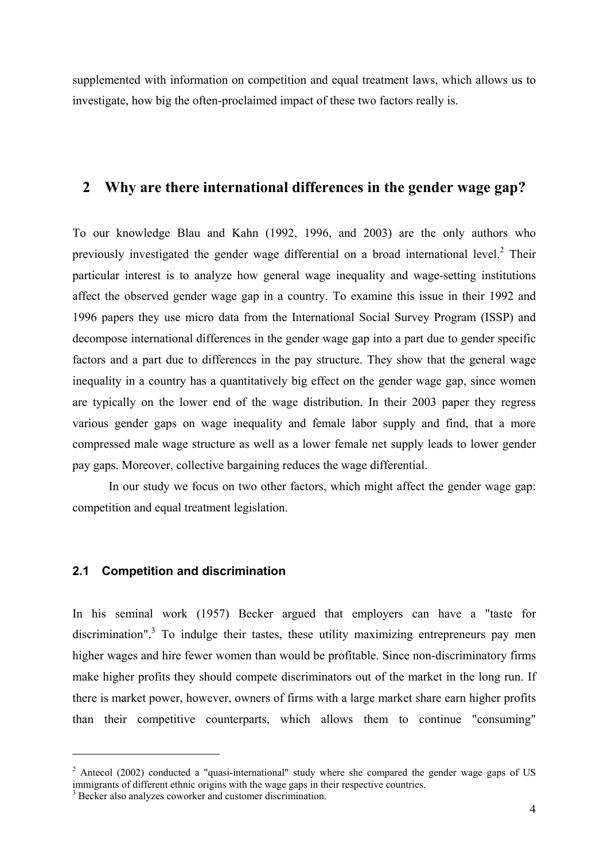supplemented with information on competition and equal treatment laws, which allows us to investigate, how big the often-proclaimed impact of these two factors really is.

# **2 Why are there international differences in the gender wage gap?**

To our knowledge Blau and Kahn (1992, 1996, and 2003) are the only authors who previously investigated the gender wage differential on a broad international level.<sup>2</sup> Their particular interest is to analyze how general wage inequality and wage-setting institutions affect the observed gender wage gap in a country. To examine this issue in their 1992 and 1996 papers they use micro data from the International Social Survey Program (ISSP) and decompose international differences in the gender wage gap into a part due to gender specific factors and a part due to differences in the pay structure. They show that the general wage inequality in a country has a quantitatively big effect on the gender wage gap, since women are typically on the lower end of the wage distribution. In their 2003 paper they regress various gender gaps on wage inequality and female labor supply and find, that a more compressed male wage structure as well as a lower female net supply leads to lower gender pay gaps. Moreover, collective bargaining reduces the wage differential.

In our study we focus on two other factors, which might affect the gender wage gap: competition and equal treatment legislation.

#### **2.1 Competition and discrimination**

In his seminal work (1957) Becker argued that employers can have a "taste for discrimination".<sup>3</sup> To indulge their tastes, these utility maximizing entrepreneurs pay men higher wages and hire fewer women than would be profitable. Since non-discriminatory firms make higher profits they should compete discriminators out of the market in the long run. If there is market power, however, owners of firms with a large market share earn higher profits than their competitive counterparts, which allows them to continue "consuming"

 $2$  Antecol (2002) conducted a "quasi-international" study where she compared the gender wage gaps of US immigrants of different ethnic origins with the wage gaps in their respective countries.

<sup>&</sup>lt;sup>3</sup> Becker also analyzes coworker and customer discrimination.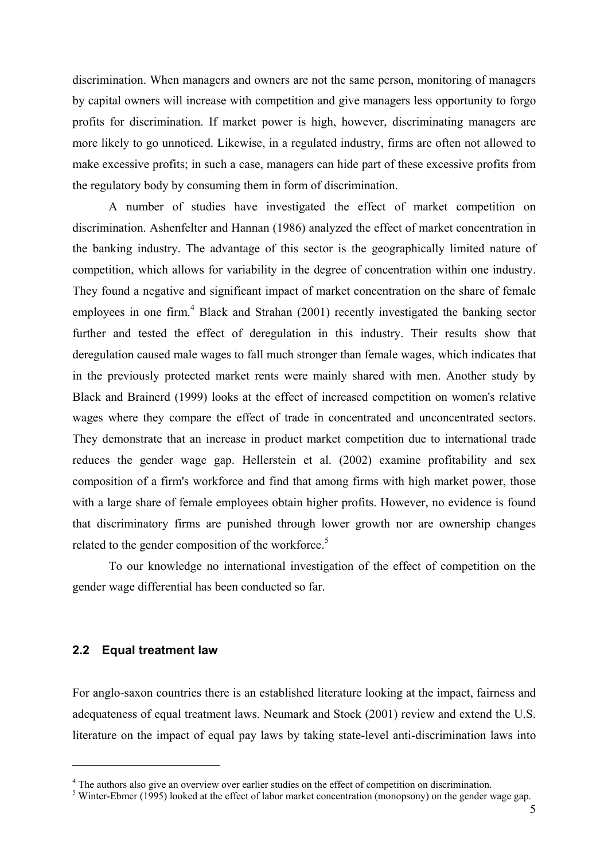discrimination. When managers and owners are not the same person, monitoring of managers by capital owners will increase with competition and give managers less opportunity to forgo profits for discrimination. If market power is high, however, discriminating managers are more likely to go unnoticed. Likewise, in a regulated industry, firms are often not allowed to make excessive profits; in such a case, managers can hide part of these excessive profits from the regulatory body by consuming them in form of discrimination.

A number of studies have investigated the effect of market competition on discrimination. Ashenfelter and Hannan (1986) analyzed the effect of market concentration in the banking industry. The advantage of this sector is the geographically limited nature of competition, which allows for variability in the degree of concentration within one industry. They found a negative and significant impact of market concentration on the share of female employees in one firm.<sup>4</sup> Black and Strahan (2001) recently investigated the banking sector further and tested the effect of deregulation in this industry. Their results show that deregulation caused male wages to fall much stronger than female wages, which indicates that in the previously protected market rents were mainly shared with men. Another study by Black and Brainerd (1999) looks at the effect of increased competition on women's relative wages where they compare the effect of trade in concentrated and unconcentrated sectors. They demonstrate that an increase in product market competition due to international trade reduces the gender wage gap. Hellerstein et al. (2002) examine profitability and sex composition of a firm's workforce and find that among firms with high market power, those with a large share of female employees obtain higher profits. However, no evidence is found that discriminatory firms are punished through lower growth nor are ownership changes related to the gender composition of the workforce.<sup>5</sup>

To our knowledge no international investigation of the effect of competition on the gender wage differential has been conducted so far.

#### **2.2 Equal treatment law**

 $\overline{a}$ 

For anglo-saxon countries there is an established literature looking at the impact, fairness and adequateness of equal treatment laws. Neumark and Stock (2001) review and extend the U.S. literature on the impact of equal pay laws by taking state-level anti-discrimination laws into

<sup>&</sup>lt;sup>4</sup> The authors also give an overview over earlier studies on the effect of competition on discrimination.

Winter-Ebmer (1995) looked at the effect of labor market concentration (monopsony) on the gender wage gap.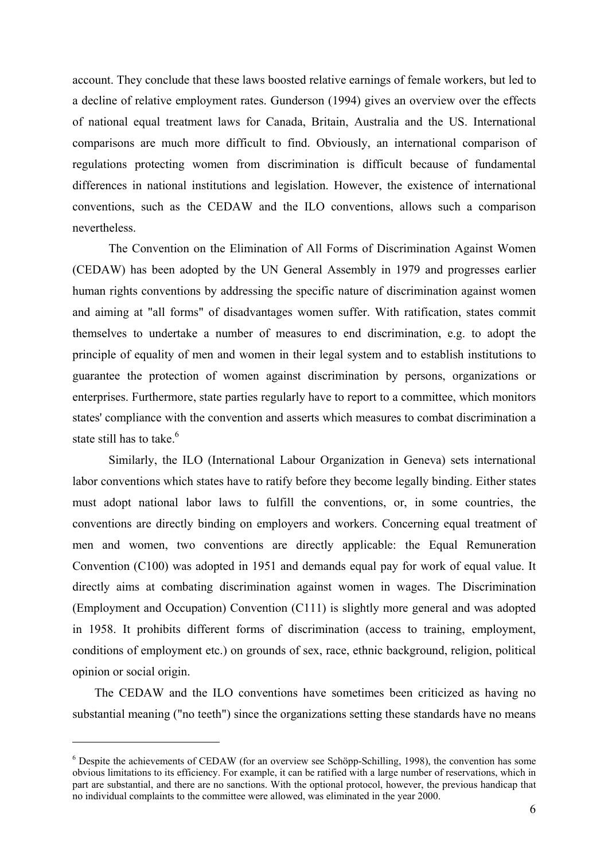account. They conclude that these laws boosted relative earnings of female workers, but led to a decline of relative employment rates. Gunderson (1994) gives an overview over the effects of national equal treatment laws for Canada, Britain, Australia and the US. International comparisons are much more difficult to find. Obviously, an international comparison of regulations protecting women from discrimination is difficult because of fundamental differences in national institutions and legislation. However, the existence of international conventions, such as the CEDAW and the ILO conventions, allows such a comparison nevertheless.

The Convention on the Elimination of All Forms of Discrimination Against Women (CEDAW) has been adopted by the UN General Assembly in 1979 and progresses earlier human rights conventions by addressing the specific nature of discrimination against women and aiming at "all forms" of disadvantages women suffer. With ratification, states commit themselves to undertake a number of measures to end discrimination, e.g. to adopt the principle of equality of men and women in their legal system and to establish institutions to guarantee the protection of women against discrimination by persons, organizations or enterprises. Furthermore, state parties regularly have to report to a committee, which monitors states' compliance with the convention and asserts which measures to combat discrimination a state still has to take.<sup>6</sup>

Similarly, the ILO (International Labour Organization in Geneva) sets international labor conventions which states have to ratify before they become legally binding. Either states must adopt national labor laws to fulfill the conventions, or, in some countries, the conventions are directly binding on employers and workers. Concerning equal treatment of men and women, two conventions are directly applicable: the Equal Remuneration Convention (C100) was adopted in 1951 and demands equal pay for work of equal value. It directly aims at combating discrimination against women in wages. The Discrimination (Employment and Occupation) Convention (C111) is slightly more general and was adopted in 1958. It prohibits different forms of discrimination (access to training, employment, conditions of employment etc.) on grounds of sex, race, ethnic background, religion, political opinion or social origin.

The CEDAW and the ILO conventions have sometimes been criticized as having no substantial meaning ("no teeth") since the organizations setting these standards have no means

<sup>&</sup>lt;sup>6</sup> Despite the achievements of CEDAW (for an overview see Schöpp-Schilling, 1998), the convention has some obvious limitations to its efficiency. For example, it can be ratified with a large number of reservations, which in part are substantial, and there are no sanctions. With the optional protocol, however, the previous handicap that no individual complaints to the committee were allowed, was eliminated in the year 2000.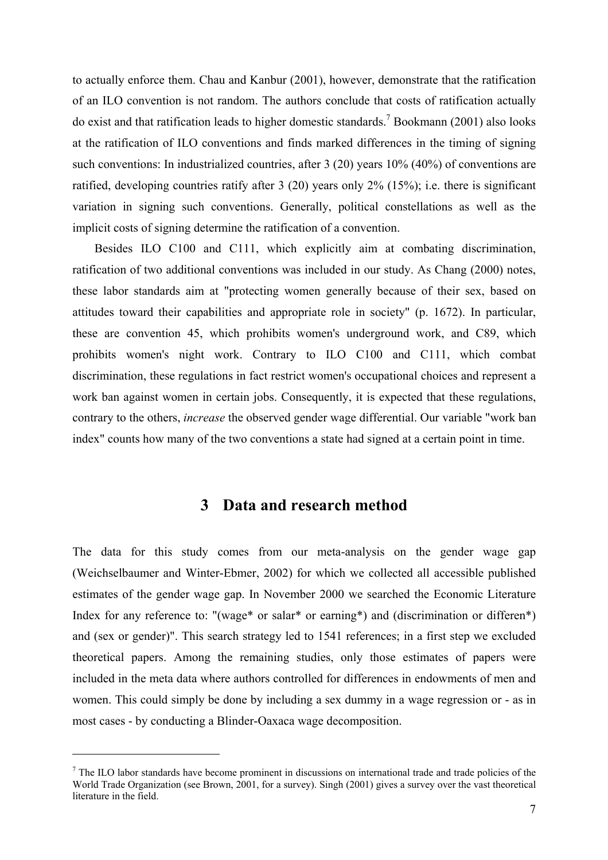to actually enforce them. Chau and Kanbur (2001), however, demonstrate that the ratification of an ILO convention is not random. The authors conclude that costs of ratification actually do exist and that ratification leads to higher domestic standards.<sup>7</sup> Bookmann (2001) also looks at the ratification of ILO conventions and finds marked differences in the timing of signing such conventions: In industrialized countries, after 3 (20) years 10% (40%) of conventions are ratified, developing countries ratify after 3 (20) years only 2% (15%); i.e. there is significant variation in signing such conventions. Generally, political constellations as well as the implicit costs of signing determine the ratification of a convention.

Besides ILO C100 and C111, which explicitly aim at combating discrimination, ratification of two additional conventions was included in our study. As Chang (2000) notes, these labor standards aim at "protecting women generally because of their sex, based on attitudes toward their capabilities and appropriate role in society" (p. 1672). In particular, these are convention 45, which prohibits women's underground work, and C89, which prohibits women's night work. Contrary to ILO C100 and C111, which combat discrimination, these regulations in fact restrict women's occupational choices and represent a work ban against women in certain jobs. Consequently, it is expected that these regulations, contrary to the others, *increase* the observed gender wage differential. Our variable "work ban index" counts how many of the two conventions a state had signed at a certain point in time.

## **3 Data and research method**

The data for this study comes from our meta-analysis on the gender wage gap (Weichselbaumer and Winter-Ebmer, 2002) for which we collected all accessible published estimates of the gender wage gap. In November 2000 we searched the Economic Literature Index for any reference to: "(wage\* or salar\* or earning\*) and (discrimination or differen\*) and (sex or gender)". This search strategy led to 1541 references; in a first step we excluded theoretical papers. Among the remaining studies, only those estimates of papers were included in the meta data where authors controlled for differences in endowments of men and women. This could simply be done by including a sex dummy in a wage regression or - as in most cases - by conducting a Blinder-Oaxaca wage decomposition.

 $<sup>7</sup>$  The ILO labor standards have become prominent in discussions on international trade and trade policies of the</sup> World Trade Organization (see Brown, 2001, for a survey). Singh (2001) gives a survey over the vast theoretical literature in the field.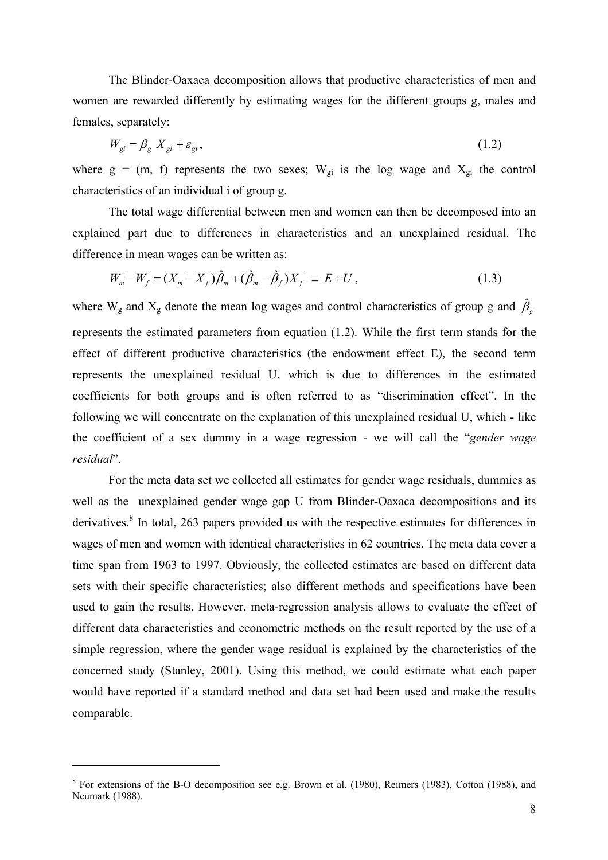The Blinder-Oaxaca decomposition allows that productive characteristics of men and women are rewarded differently by estimating wages for the different groups g, males and females, separately:

$$
W_{gi} = \beta_g X_{gi} + \varepsilon_{gi},\tag{1.2}
$$

where  $g = (m, f)$  represents the two sexes;  $W_{gi}$  is the log wage and  $X_{gi}$  the control characteristics of an individual i of group g.

The total wage differential between men and women can then be decomposed into an explained part due to differences in characteristics and an unexplained residual. The difference in mean wages can be written as:

$$
\overline{W_m} - \overline{W_f} = (\overline{X_m} - \overline{X_f})\hat{\beta}_m + (\hat{\beta}_m - \hat{\beta}_f)\overline{X_f} \equiv E + U, \qquad (1.3)
$$

where W<sub>g</sub> and X<sub>g</sub> denote the mean log wages and control characteristics of group g and  $\hat{\beta}_g$ represents the estimated parameters from equation (1.2). While the first term stands for the effect of different productive characteristics (the endowment effect E), the second term represents the unexplained residual U, which is due to differences in the estimated coefficients for both groups and is often referred to as "discrimination effect". In the following we will concentrate on the explanation of this unexplained residual U, which - like the coefficient of a sex dummy in a wage regression - we will call the "*gender wage residual*".

For the meta data set we collected all estimates for gender wage residuals, dummies as well as the unexplained gender wage gap U from Blinder-Oaxaca decompositions and its derivatives.<sup>8</sup> In total, 263 papers provided us with the respective estimates for differences in wages of men and women with identical characteristics in 62 countries. The meta data cover a time span from 1963 to 1997. Obviously, the collected estimates are based on different data sets with their specific characteristics; also different methods and specifications have been used to gain the results. However, meta-regression analysis allows to evaluate the effect of different data characteristics and econometric methods on the result reported by the use of a simple regression, where the gender wage residual is explained by the characteristics of the concerned study (Stanley, 2001). Using this method, we could estimate what each paper would have reported if a standard method and data set had been used and make the results comparable.

<sup>&</sup>lt;sup>8</sup> For extensions of the B-O decomposition see e.g. Brown et al. (1980), Reimers (1983), Cotton (1988), and Neumark (1988).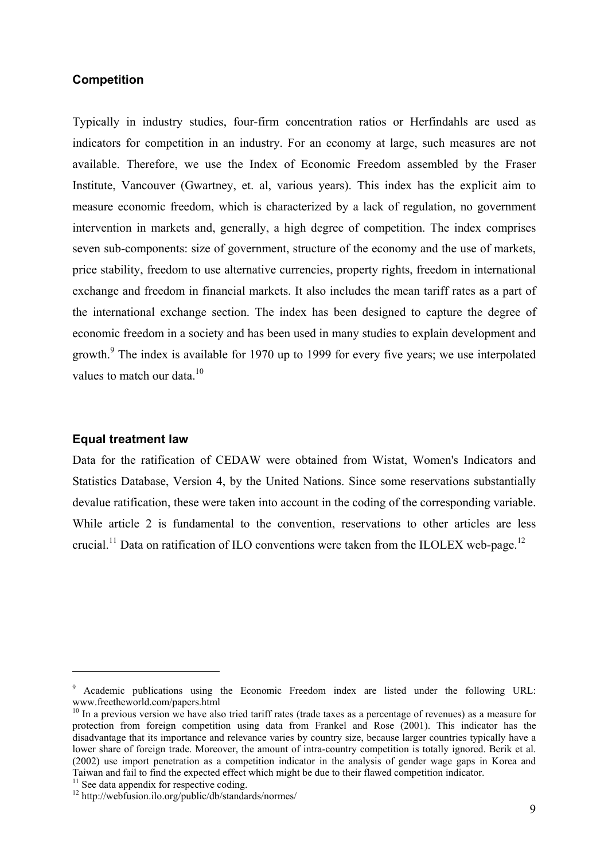#### **Competition**

Typically in industry studies, four-firm concentration ratios or Herfindahls are used as indicators for competition in an industry. For an economy at large, such measures are not available. Therefore, we use the Index of Economic Freedom assembled by the Fraser Institute, Vancouver (Gwartney, et. al, various years). This index has the explicit aim to measure economic freedom, which is characterized by a lack of regulation, no government intervention in markets and, generally, a high degree of competition. The index comprises seven sub-components: size of government, structure of the economy and the use of markets, price stability, freedom to use alternative currencies, property rights, freedom in international exchange and freedom in financial markets. It also includes the mean tariff rates as a part of the international exchange section. The index has been designed to capture the degree of economic freedom in a society and has been used in many studies to explain development and growth.<sup>9</sup> The index is available for 1970 up to 1999 for every five years; we use interpolated values to match our data. $10$ 

#### **Equal treatment law**

 $\overline{a}$ 

Data for the ratification of CEDAW were obtained from Wistat, Women's Indicators and Statistics Database, Version 4, by the United Nations. Since some reservations substantially devalue ratification, these were taken into account in the coding of the corresponding variable. While article 2 is fundamental to the convention, reservations to other articles are less crucial.<sup>11</sup> Data on ratification of ILO conventions were taken from the ILOLEX web-page.<sup>12</sup>

<sup>&</sup>lt;sup>9</sup> Academic publications using the Economic Freedom index are listed under the following URL: www.freetheworld.com/papers.html

<sup>&</sup>lt;sup>10</sup> In a previous version we have also tried tariff rates (trade taxes as a percentage of revenues) as a measure for protection from foreign competition using data from Frankel and Rose (2001). This indicator has the disadvantage that its importance and relevance varies by country size, because larger countries typically have a lower share of foreign trade. Moreover, the amount of intra-country competition is totally ignored. Berik et al. (2002) use import penetration as a competition indicator in the analysis of gender wage gaps in Korea and Taiwan and fail to find the expected effect which might be due to their flawed competition indicator.

 $11$  See data appendix for respective coding.

<sup>12</sup> http://webfusion.ilo.org/public/db/standards/normes/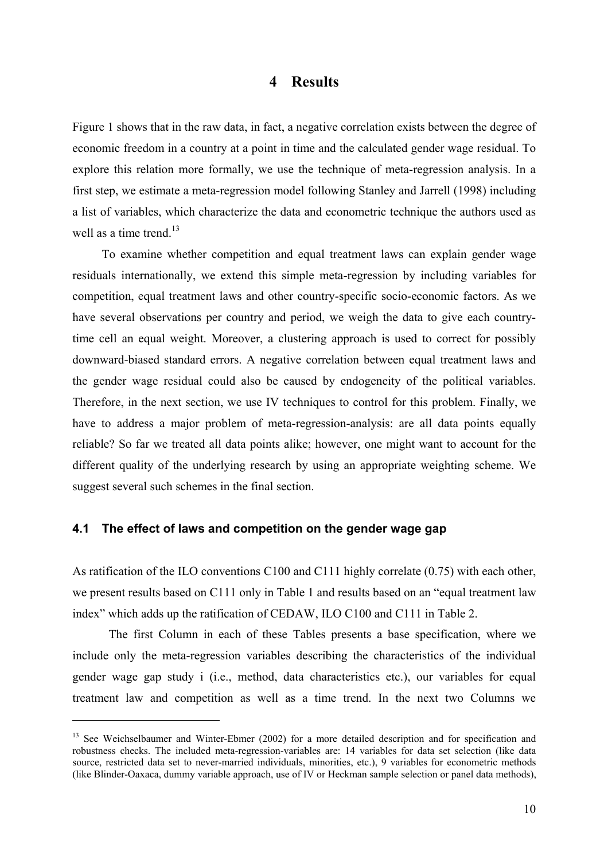#### **4 Results**

Figure 1 shows that in the raw data, in fact, a negative correlation exists between the degree of economic freedom in a country at a point in time and the calculated gender wage residual. To explore this relation more formally, we use the technique of meta-regression analysis. In a first step, we estimate a meta-regression model following Stanley and Jarrell (1998) including a list of variables, which characterize the data and econometric technique the authors used as well as a time trend.<sup>13</sup>

To examine whether competition and equal treatment laws can explain gender wage residuals internationally, we extend this simple meta-regression by including variables for competition, equal treatment laws and other country-specific socio-economic factors. As we have several observations per country and period, we weigh the data to give each countrytime cell an equal weight. Moreover, a clustering approach is used to correct for possibly downward-biased standard errors. A negative correlation between equal treatment laws and the gender wage residual could also be caused by endogeneity of the political variables. Therefore, in the next section, we use IV techniques to control for this problem. Finally, we have to address a major problem of meta-regression-analysis: are all data points equally reliable? So far we treated all data points alike; however, one might want to account for the different quality of the underlying research by using an appropriate weighting scheme. We suggest several such schemes in the final section.

#### **4.1 The effect of laws and competition on the gender wage gap**

 $\overline{a}$ 

As ratification of the ILO conventions C100 and C111 highly correlate (0.75) with each other, we present results based on C111 only in Table 1 and results based on an "equal treatment law index" which adds up the ratification of CEDAW, ILO C100 and C111 in Table 2.

The first Column in each of these Tables presents a base specification, where we include only the meta-regression variables describing the characteristics of the individual gender wage gap study i (i.e., method, data characteristics etc.), our variables for equal treatment law and competition as well as a time trend. In the next two Columns we

<sup>&</sup>lt;sup>13</sup> See Weichselbaumer and Winter-Ebmer (2002) for a more detailed description and for specification and robustness checks. The included meta-regression-variables are: 14 variables for data set selection (like data source, restricted data set to never-married individuals, minorities, etc.), 9 variables for econometric methods (like Blinder-Oaxaca, dummy variable approach, use of IV or Heckman sample selection or panel data methods),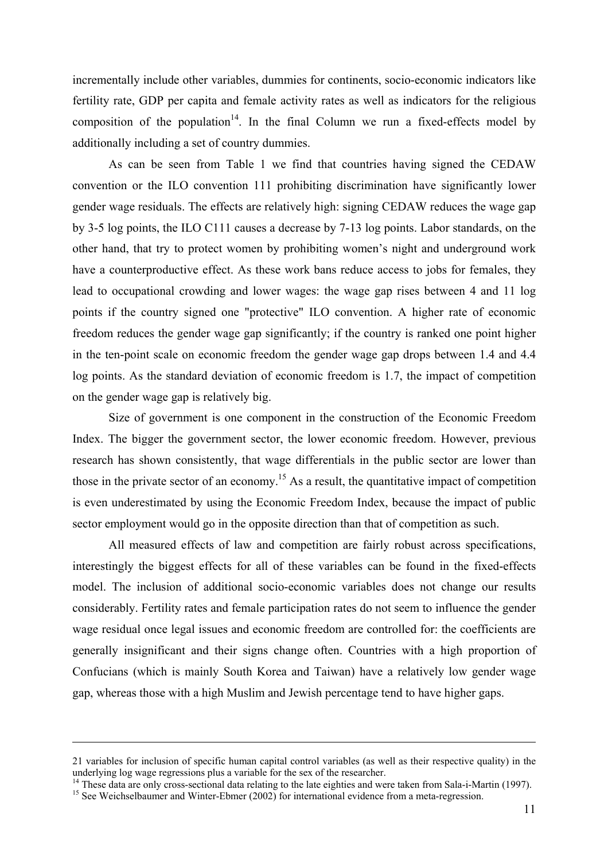incrementally include other variables, dummies for continents, socio-economic indicators like fertility rate, GDP per capita and female activity rates as well as indicators for the religious composition of the population<sup>14</sup>. In the final Column we run a fixed-effects model by additionally including a set of country dummies.

As can be seen from Table 1 we find that countries having signed the CEDAW convention or the ILO convention 111 prohibiting discrimination have significantly lower gender wage residuals. The effects are relatively high: signing CEDAW reduces the wage gap by 3-5 log points, the ILO C111 causes a decrease by 7-13 log points. Labor standards, on the other hand, that try to protect women by prohibiting women's night and underground work have a counterproductive effect. As these work bans reduce access to jobs for females, they lead to occupational crowding and lower wages: the wage gap rises between 4 and 11 log points if the country signed one "protective" ILO convention. A higher rate of economic freedom reduces the gender wage gap significantly; if the country is ranked one point higher in the ten-point scale on economic freedom the gender wage gap drops between 1.4 and 4.4 log points. As the standard deviation of economic freedom is 1.7, the impact of competition on the gender wage gap is relatively big.

Size of government is one component in the construction of the Economic Freedom Index. The bigger the government sector, the lower economic freedom. However, previous research has shown consistently, that wage differentials in the public sector are lower than those in the private sector of an economy.<sup>15</sup> As a result, the quantitative impact of competition is even underestimated by using the Economic Freedom Index, because the impact of public sector employment would go in the opposite direction than that of competition as such.

All measured effects of law and competition are fairly robust across specifications, interestingly the biggest effects for all of these variables can be found in the fixed-effects model. The inclusion of additional socio-economic variables does not change our results considerably. Fertility rates and female participation rates do not seem to influence the gender wage residual once legal issues and economic freedom are controlled for: the coefficients are generally insignificant and their signs change often. Countries with a high proportion of Confucians (which is mainly South Korea and Taiwan) have a relatively low gender wage gap, whereas those with a high Muslim and Jewish percentage tend to have higher gaps.

<sup>21</sup> variables for inclusion of specific human capital control variables (as well as their respective quality) in the underlying log wage regressions plus a variable for the sex of the researcher.

<sup>&</sup>lt;sup>14</sup> These data are only cross-sectional data relating to the late eighties and were taken from Sala-i-Martin (1997).<br><sup>15</sup> See Weichselbaumer and Winter-Ebmer (2002) for international evidence from a meta-regression.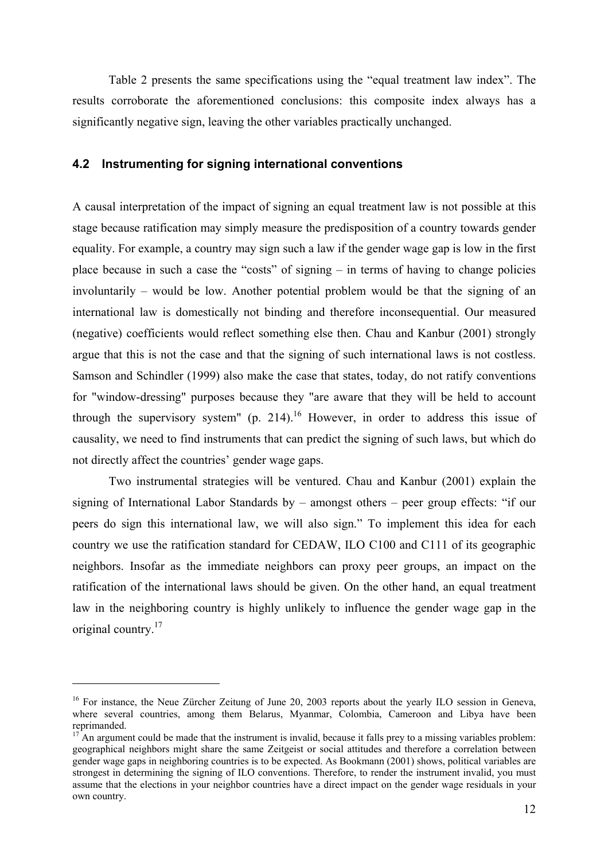Table 2 presents the same specifications using the "equal treatment law index". The results corroborate the aforementioned conclusions: this composite index always has a significantly negative sign, leaving the other variables practically unchanged.

#### **4.2 Instrumenting for signing international conventions**

A causal interpretation of the impact of signing an equal treatment law is not possible at this stage because ratification may simply measure the predisposition of a country towards gender equality. For example, a country may sign such a law if the gender wage gap is low in the first place because in such a case the "costs" of signing – in terms of having to change policies involuntarily – would be low. Another potential problem would be that the signing of an international law is domestically not binding and therefore inconsequential. Our measured (negative) coefficients would reflect something else then. Chau and Kanbur (2001) strongly argue that this is not the case and that the signing of such international laws is not costless. Samson and Schindler (1999) also make the case that states, today, do not ratify conventions for "window-dressing" purposes because they "are aware that they will be held to account through the supervisory system" (p. 214).<sup>16</sup> However, in order to address this issue of causality, we need to find instruments that can predict the signing of such laws, but which do not directly affect the countries' gender wage gaps.

Two instrumental strategies will be ventured. Chau and Kanbur (2001) explain the signing of International Labor Standards by – amongst others – peer group effects: "if our peers do sign this international law, we will also sign." To implement this idea for each country we use the ratification standard for CEDAW, ILO C100 and C111 of its geographic neighbors. Insofar as the immediate neighbors can proxy peer groups, an impact on the ratification of the international laws should be given. On the other hand, an equal treatment law in the neighboring country is highly unlikely to influence the gender wage gap in the original country.<sup>17</sup>

<sup>&</sup>lt;sup>16</sup> For instance, the Neue Zürcher Zeitung of June 20, 2003 reports about the yearly ILO session in Geneva, where several countries, among them Belarus, Myanmar, Colombia, Cameroon and Libya have been reprimanded.

 $17<sup>T</sup>$  An argument could be made that the instrument is invalid, because it falls prey to a missing variables problem: geographical neighbors might share the same Zeitgeist or social attitudes and therefore a correlation between gender wage gaps in neighboring countries is to be expected. As Bookmann (2001) shows, political variables are strongest in determining the signing of ILO conventions. Therefore, to render the instrument invalid, you must assume that the elections in your neighbor countries have a direct impact on the gender wage residuals in your own country.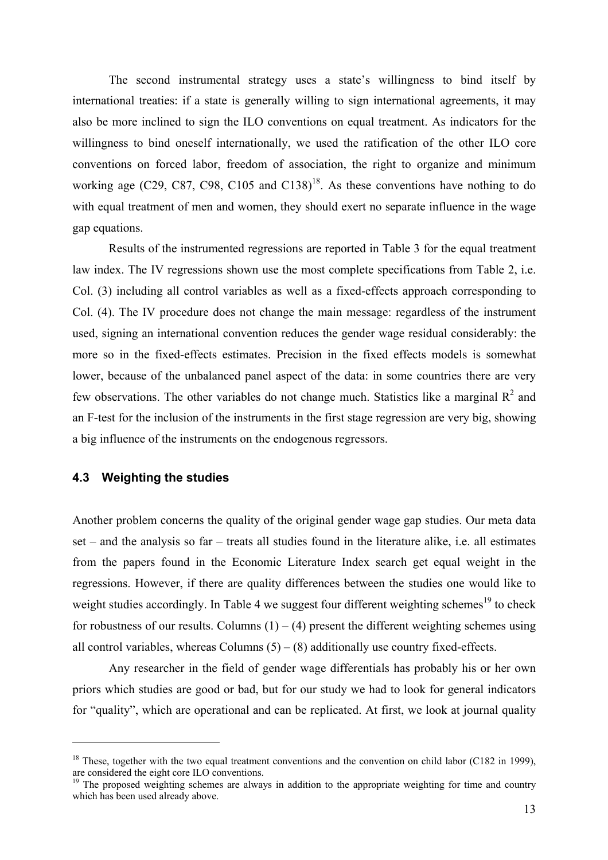The second instrumental strategy uses a state's willingness to bind itself by international treaties: if a state is generally willing to sign international agreements, it may also be more inclined to sign the ILO conventions on equal treatment. As indicators for the willingness to bind oneself internationally, we used the ratification of the other ILO core conventions on forced labor, freedom of association, the right to organize and minimum working age (C29, C87, C98, C105 and C138)<sup>18</sup>. As these conventions have nothing to do with equal treatment of men and women, they should exert no separate influence in the wage gap equations.

Results of the instrumented regressions are reported in Table 3 for the equal treatment law index. The IV regressions shown use the most complete specifications from Table 2, i.e. Col. (3) including all control variables as well as a fixed-effects approach corresponding to Col. (4). The IV procedure does not change the main message: regardless of the instrument used, signing an international convention reduces the gender wage residual considerably: the more so in the fixed-effects estimates. Precision in the fixed effects models is somewhat lower, because of the unbalanced panel aspect of the data: in some countries there are very few observations. The other variables do not change much. Statistics like a marginal  $R^2$  and an F-test for the inclusion of the instruments in the first stage regression are very big, showing a big influence of the instruments on the endogenous regressors.

#### **4.3 Weighting the studies**

 $\overline{a}$ 

Another problem concerns the quality of the original gender wage gap studies. Our meta data set – and the analysis so far – treats all studies found in the literature alike, i.e. all estimates from the papers found in the Economic Literature Index search get equal weight in the regressions. However, if there are quality differences between the studies one would like to weight studies accordingly. In Table 4 we suggest four different weighting schemes<sup>19</sup> to check for robustness of our results. Columns  $(1) - (4)$  present the different weighting schemes using all control variables, whereas Columns  $(5) - (8)$  additionally use country fixed-effects.

Any researcher in the field of gender wage differentials has probably his or her own priors which studies are good or bad, but for our study we had to look for general indicators for "quality", which are operational and can be replicated. At first, we look at journal quality

<sup>&</sup>lt;sup>18</sup> These, together with the two equal treatment conventions and the convention on child labor (C182 in 1999), are considered the eight core ILO conventions.

<sup>&</sup>lt;sup>19</sup> The proposed weighting schemes are always in addition to the appropriate weighting for time and country which has been used already above.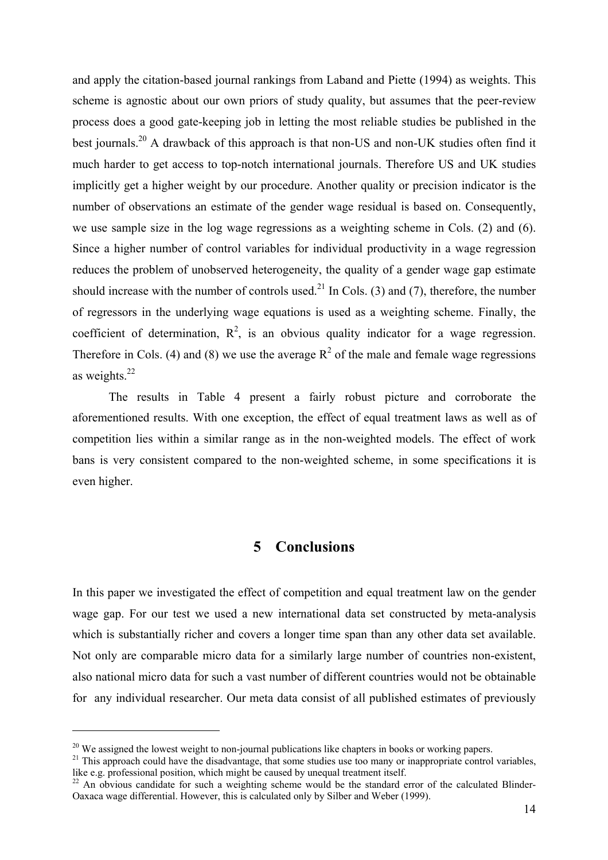and apply the citation-based journal rankings from Laband and Piette (1994) as weights. This scheme is agnostic about our own priors of study quality, but assumes that the peer-review process does a good gate-keeping job in letting the most reliable studies be published in the best journals.<sup>20</sup> A drawback of this approach is that non-US and non-UK studies often find it much harder to get access to top-notch international journals. Therefore US and UK studies implicitly get a higher weight by our procedure. Another quality or precision indicator is the number of observations an estimate of the gender wage residual is based on. Consequently, we use sample size in the log wage regressions as a weighting scheme in Cols. (2) and (6). Since a higher number of control variables for individual productivity in a wage regression reduces the problem of unobserved heterogeneity, the quality of a gender wage gap estimate should increase with the number of controls used.<sup>21</sup> In Cols. (3) and (7), therefore, the number of regressors in the underlying wage equations is used as a weighting scheme. Finally, the coefficient of determination,  $R^2$ , is an obvious quality indicator for a wage regression. Therefore in Cols. (4) and (8) we use the average  $R^2$  of the male and female wage regressions as weights.22

The results in Table 4 present a fairly robust picture and corroborate the aforementioned results. With one exception, the effect of equal treatment laws as well as of competition lies within a similar range as in the non-weighted models. The effect of work bans is very consistent compared to the non-weighted scheme, in some specifications it is even higher.

## **5 Conclusions**

In this paper we investigated the effect of competition and equal treatment law on the gender wage gap. For our test we used a new international data set constructed by meta-analysis which is substantially richer and covers a longer time span than any other data set available. Not only are comparable micro data for a similarly large number of countries non-existent, also national micro data for such a vast number of different countries would not be obtainable for any individual researcher. Our meta data consist of all published estimates of previously

<sup>&</sup>lt;sup>20</sup> We assigned the lowest weight to non-journal publications like chapters in books or working papers. <sup>21</sup> This approach could have the disadvantage, that some studies use too many or inappropriate control variables, like e.g. professional position, which might be caused by unequal treatment itself.

 $22$  An obvious candidate for such a weighting scheme would be the standard error of the calculated Blinder-Oaxaca wage differential. However, this is calculated only by Silber and Weber (1999).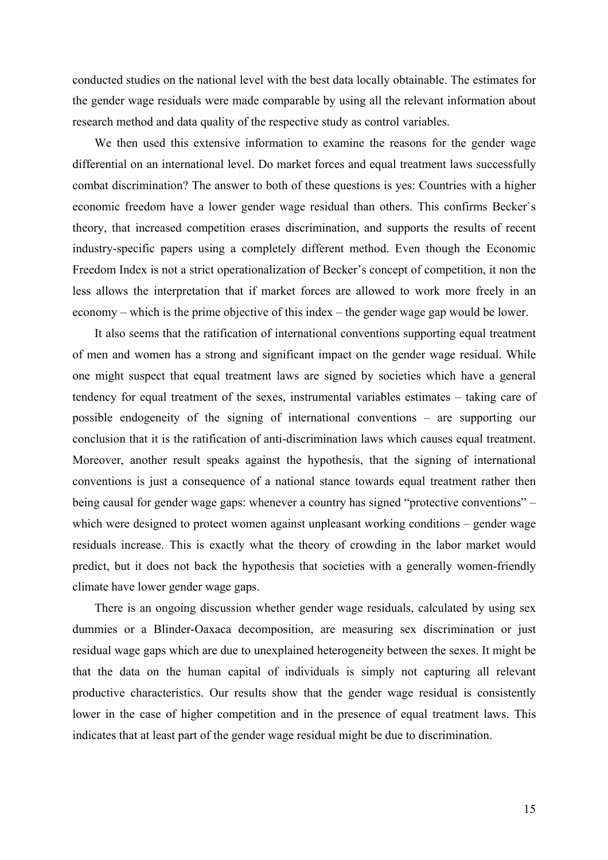conducted studies on the national level with the best data locally obtainable. The estimates for the gender wage residuals were made comparable by using all the relevant information about research method and data quality of the respective study as control variables.

We then used this extensive information to examine the reasons for the gender wage differential on an international level. Do market forces and equal treatment laws successfully combat discrimination? The answer to both of these questions is yes: Countries with a higher economic freedom have a lower gender wage residual than others. This confirms Becker`s theory, that increased competition erases discrimination, and supports the results of recent industry-specific papers using a completely different method. Even though the Economic Freedom Index is not a strict operationalization of Becker's concept of competition, it non the less allows the interpretation that if market forces are allowed to work more freely in an economy – which is the prime objective of this index – the gender wage gap would be lower.

It also seems that the ratification of international conventions supporting equal treatment of men and women has a strong and significant impact on the gender wage residual. While one might suspect that equal treatment laws are signed by societies which have a general tendency for equal treatment of the sexes, instrumental variables estimates – taking care of possible endogeneity of the signing of international conventions – are supporting our conclusion that it is the ratification of anti-discrimination laws which causes equal treatment. Moreover, another result speaks against the hypothesis, that the signing of international conventions is just a consequence of a national stance towards equal treatment rather then being causal for gender wage gaps: whenever a country has signed "protective conventions" – which were designed to protect women against unpleasant working conditions – gender wage residuals increase. This is exactly what the theory of crowding in the labor market would predict, but it does not back the hypothesis that societies with a generally women-friendly climate have lower gender wage gaps.

There is an ongoing discussion whether gender wage residuals, calculated by using sex dummies or a Blinder-Oaxaca decomposition, are measuring sex discrimination or just residual wage gaps which are due to unexplained heterogeneity between the sexes. It might be that the data on the human capital of individuals is simply not capturing all relevant productive characteristics. Our results show that the gender wage residual is consistently lower in the case of higher competition and in the presence of equal treatment laws. This indicates that at least part of the gender wage residual might be due to discrimination.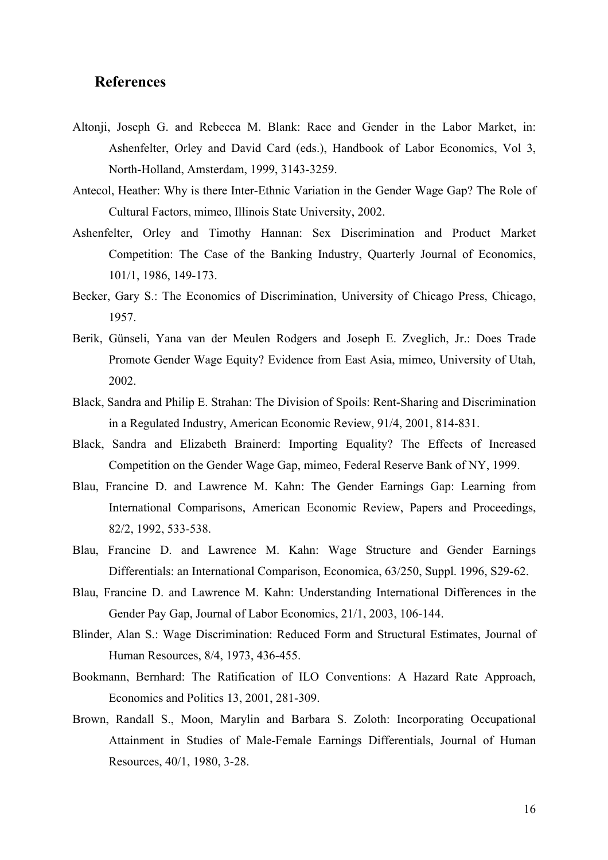#### **References**

- Altonji, Joseph G. and Rebecca M. Blank: Race and Gender in the Labor Market, in: Ashenfelter, Orley and David Card (eds.), Handbook of Labor Economics, Vol 3, North-Holland, Amsterdam, 1999, 3143-3259.
- Antecol, Heather: Why is there Inter-Ethnic Variation in the Gender Wage Gap? The Role of Cultural Factors, mimeo, Illinois State University, 2002.
- Ashenfelter, Orley and Timothy Hannan: Sex Discrimination and Product Market Competition: The Case of the Banking Industry, Quarterly Journal of Economics, 101/1, 1986, 149-173.
- Becker, Gary S.: The Economics of Discrimination, University of Chicago Press, Chicago, 1957.
- Berik, Günseli, Yana van der Meulen Rodgers and Joseph E. Zveglich, Jr.: Does Trade Promote Gender Wage Equity? Evidence from East Asia, mimeo, University of Utah, 2002.
- Black, Sandra and Philip E. Strahan: The Division of Spoils: Rent-Sharing and Discrimination in a Regulated Industry, American Economic Review, 91/4, 2001, 814-831.
- Black, Sandra and Elizabeth Brainerd: Importing Equality? The Effects of Increased Competition on the Gender Wage Gap, mimeo, Federal Reserve Bank of NY, 1999.
- Blau, Francine D. and Lawrence M. Kahn: The Gender Earnings Gap: Learning from International Comparisons, American Economic Review, Papers and Proceedings, 82/2, 1992, 533-538.
- Blau, Francine D. and Lawrence M. Kahn: Wage Structure and Gender Earnings Differentials: an International Comparison, Economica, 63/250, Suppl. 1996, S29-62.
- Blau, Francine D. and Lawrence M. Kahn: Understanding International Differences in the Gender Pay Gap, Journal of Labor Economics, 21/1, 2003, 106-144.
- Blinder, Alan S.: Wage Discrimination: Reduced Form and Structural Estimates, Journal of Human Resources, 8/4, 1973, 436-455.
- Bookmann, Bernhard: The Ratification of ILO Conventions: A Hazard Rate Approach, Economics and Politics 13, 2001, 281-309.
- Brown, Randall S., Moon, Marylin and Barbara S. Zoloth: Incorporating Occupational Attainment in Studies of Male-Female Earnings Differentials, Journal of Human Resources, 40/1, 1980, 3-28.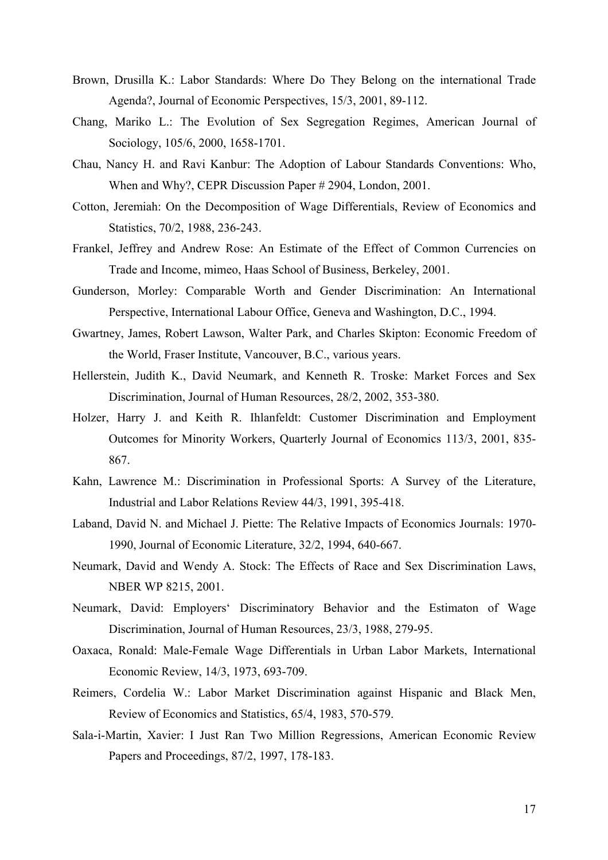- Brown, Drusilla K.: Labor Standards: Where Do They Belong on the international Trade Agenda?, Journal of Economic Perspectives, 15/3, 2001, 89-112.
- Chang, Mariko L.: The Evolution of Sex Segregation Regimes, American Journal of Sociology, 105/6, 2000, 1658-1701.
- Chau, Nancy H. and Ravi Kanbur: The Adoption of Labour Standards Conventions: Who, When and Why?, CEPR Discussion Paper # 2904, London, 2001.
- Cotton, Jeremiah: On the Decomposition of Wage Differentials, Review of Economics and Statistics, 70/2, 1988, 236-243.
- Frankel, Jeffrey and Andrew Rose: An Estimate of the Effect of Common Currencies on Trade and Income, mimeo, Haas School of Business, Berkeley, 2001.
- Gunderson, Morley: Comparable Worth and Gender Discrimination: An International Perspective, International Labour Office, Geneva and Washington, D.C., 1994.
- Gwartney, James, Robert Lawson, Walter Park, and Charles Skipton: Economic Freedom of the World, Fraser Institute, Vancouver, B.C., various years.
- Hellerstein, Judith K., David Neumark, and Kenneth R. Troske: Market Forces and Sex Discrimination, Journal of Human Resources, 28/2, 2002, 353-380.
- Holzer, Harry J. and Keith R. Ihlanfeldt: Customer Discrimination and Employment Outcomes for Minority Workers, Quarterly Journal of Economics 113/3, 2001, 835- 867.
- Kahn, Lawrence M.: Discrimination in Professional Sports: A Survey of the Literature, Industrial and Labor Relations Review 44/3, 1991, 395-418.
- Laband, David N. and Michael J. Piette: The Relative Impacts of Economics Journals: 1970- 1990, Journal of Economic Literature, 32/2, 1994, 640-667.
- Neumark, David and Wendy A. Stock: The Effects of Race and Sex Discrimination Laws, NBER WP 8215, 2001.
- Neumark, David: Employers' Discriminatory Behavior and the Estimaton of Wage Discrimination, Journal of Human Resources, 23/3, 1988, 279-95.
- Oaxaca, Ronald: Male-Female Wage Differentials in Urban Labor Markets, International Economic Review, 14/3, 1973, 693-709.
- Reimers, Cordelia W.: Labor Market Discrimination against Hispanic and Black Men, Review of Economics and Statistics, 65/4, 1983, 570-579.
- Sala-i-Martin, Xavier: I Just Ran Two Million Regressions, American Economic Review Papers and Proceedings, 87/2, 1997, 178-183.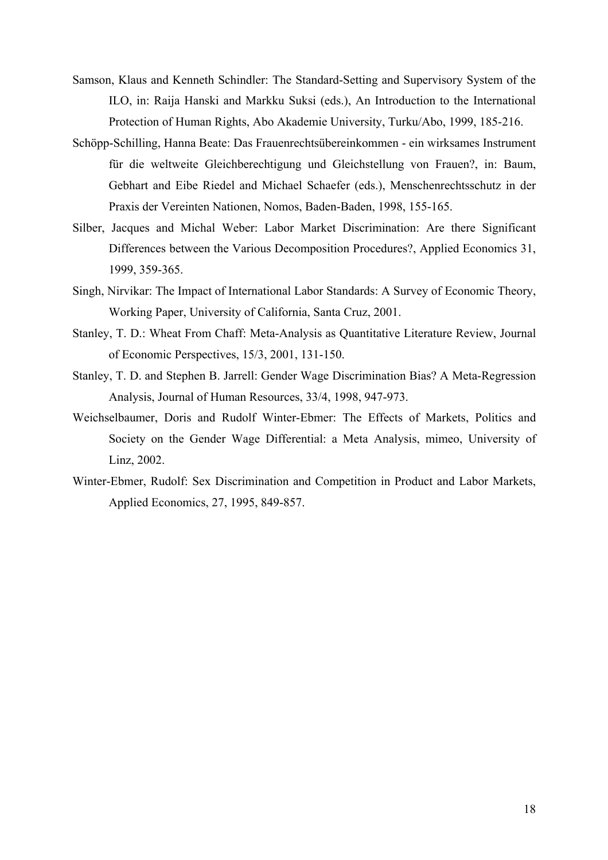- Samson, Klaus and Kenneth Schindler: The Standard-Setting and Supervisory System of the ILO, in: Raija Hanski and Markku Suksi (eds.), An Introduction to the International Protection of Human Rights, Abo Akademie University, Turku/Abo, 1999, 185-216.
- Schöpp-Schilling, Hanna Beate: Das Frauenrechtsübereinkommen ein wirksames Instrument für die weltweite Gleichberechtigung und Gleichstellung von Frauen?, in: Baum, Gebhart and Eibe Riedel and Michael Schaefer (eds.), Menschenrechtsschutz in der Praxis der Vereinten Nationen, Nomos, Baden-Baden, 1998, 155-165.
- Silber, Jacques and Michal Weber: Labor Market Discrimination: Are there Significant Differences between the Various Decomposition Procedures?, Applied Economics 31, 1999, 359-365.
- Singh, Nirvikar: The Impact of International Labor Standards: A Survey of Economic Theory, Working Paper, University of California, Santa Cruz, 2001.
- Stanley, T. D.: Wheat From Chaff: Meta-Analysis as Quantitative Literature Review, Journal of Economic Perspectives, 15/3, 2001, 131-150.
- Stanley, T. D. and Stephen B. Jarrell: Gender Wage Discrimination Bias? A Meta-Regression Analysis, Journal of Human Resources, 33/4, 1998, 947-973.
- Weichselbaumer, Doris and Rudolf Winter-Ebmer: The Effects of Markets, Politics and Society on the Gender Wage Differential: a Meta Analysis, mimeo, University of Linz, 2002.
- Winter-Ebmer, Rudolf: Sex Discrimination and Competition in Product and Labor Markets, Applied Economics, 27, 1995, 849-857.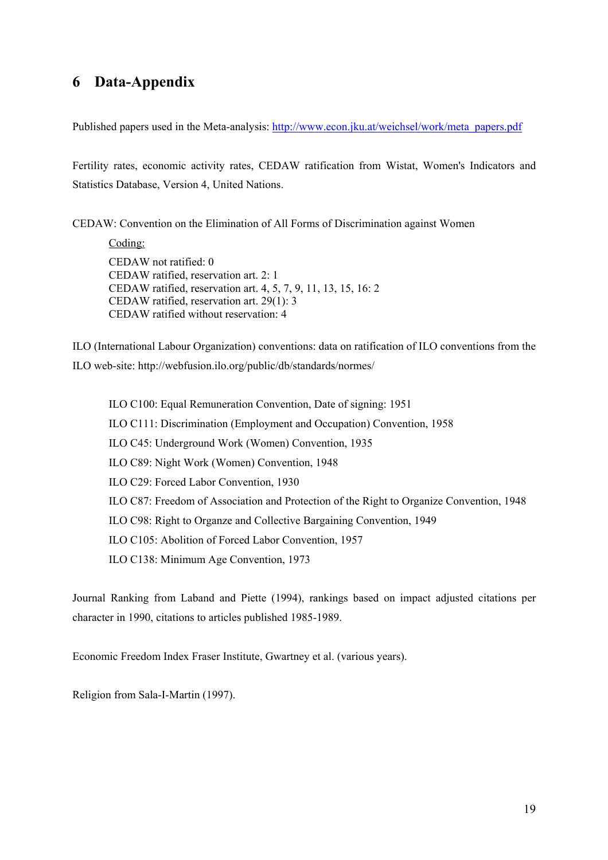# **6 Data-Appendix**

Published papers used in the Meta-analysis: http://www.econ.jku.at/weichsel/work/meta\_papers.pdf

Fertility rates, economic activity rates, CEDAW ratification from Wistat, Women's Indicators and Statistics Database, Version 4, United Nations.

CEDAW: Convention on the Elimination of All Forms of Discrimination against Women

Coding: CEDAW not ratified: 0 CEDAW ratified, reservation art. 2: 1 CEDAW ratified, reservation art. 4, 5, 7, 9, 11, 13, 15, 16: 2 CEDAW ratified, reservation art. 29(1): 3 CEDAW ratified without reservation: 4

ILO (International Labour Organization) conventions: data on ratification of ILO conventions from the ILO web-site: http://webfusion.ilo.org/public/db/standards/normes/

ILO C100: Equal Remuneration Convention, Date of signing: 1951 ILO C111: Discrimination (Employment and Occupation) Convention, 1958 ILO C45: Underground Work (Women) Convention, 1935 ILO C89: Night Work (Women) Convention, 1948 ILO C29: Forced Labor Convention, 1930 ILO C87: Freedom of Association and Protection of the Right to Organize Convention, 1948 ILO C98: Right to Organze and Collective Bargaining Convention, 1949 ILO C105: Abolition of Forced Labor Convention, 1957 ILO C138: Minimum Age Convention, 1973

Journal Ranking from Laband and Piette (1994), rankings based on impact adjusted citations per character in 1990, citations to articles published 1985-1989.

Economic Freedom Index Fraser Institute, Gwartney et al. (various years).

Religion from Sala-I-Martin (1997).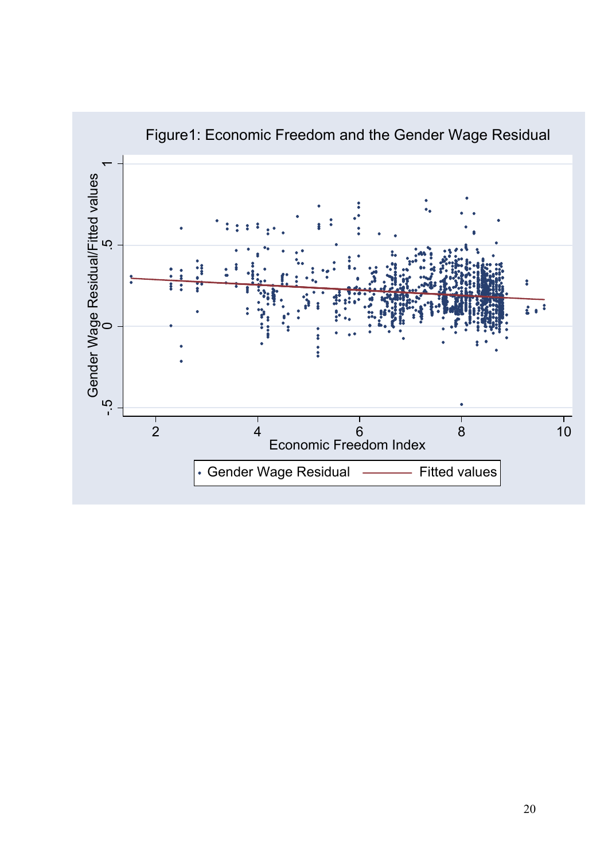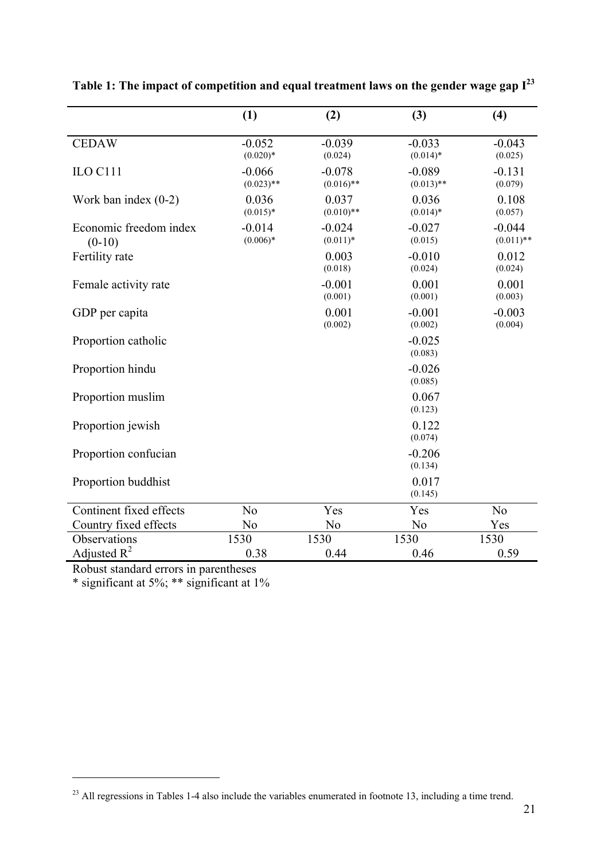|                                    | (1)                      | (2)                      | (3)                      | (4)                      |
|------------------------------------|--------------------------|--------------------------|--------------------------|--------------------------|
| <b>CEDAW</b>                       | $-0.052$<br>$(0.020)*$   | $-0.039$<br>(0.024)      | $-0.033$<br>$(0.014)$ *  | $-0.043$<br>(0.025)      |
| ILO C111                           | $-0.066$<br>$(0.023)$ ** | $-0.078$<br>$(0.016)$ ** | $-0.089$<br>$(0.013)$ ** | $-0.131$<br>(0.079)      |
| Work ban index $(0-2)$             | 0.036<br>$(0.015)*$      | 0.037<br>$(0.010)$ **    | 0.036<br>$(0.014)$ *     | 0.108<br>(0.057)         |
| Economic freedom index<br>$(0-10)$ | $-0.014$<br>$(0.006)*$   | $-0.024$<br>$(0.011)*$   | $-0.027$<br>(0.015)      | $-0.044$<br>$(0.011)$ ** |
| Fertility rate                     |                          | 0.003<br>(0.018)         | $-0.010$<br>(0.024)      | 0.012<br>(0.024)         |
| Female activity rate               |                          | $-0.001$<br>(0.001)      | 0.001<br>(0.001)         | 0.001<br>(0.003)         |
| GDP per capita                     |                          | 0.001<br>(0.002)         | $-0.001$<br>(0.002)      | $-0.003$<br>(0.004)      |
| Proportion catholic                |                          |                          | $-0.025$<br>(0.083)      |                          |
| Proportion hindu                   |                          |                          | $-0.026$<br>(0.085)      |                          |
| Proportion muslim                  |                          |                          | 0.067<br>(0.123)         |                          |
| Proportion jewish                  |                          |                          | 0.122<br>(0.074)         |                          |
| Proportion confucian               |                          |                          | $-0.206$<br>(0.134)      |                          |
| Proportion buddhist                |                          |                          | 0.017<br>(0.145)         |                          |
| Continent fixed effects            | N <sub>o</sub>           | Yes                      | Yes                      | N <sub>o</sub>           |
| Country fixed effects              | N <sub>0</sub>           | N <sub>o</sub>           | N <sub>0</sub>           | Yes                      |
| Observations                       | 1530                     | 1530                     | 1530                     | 1530                     |
| Adjusted $R^2$                     | 0.38                     | 0.44                     | 0.46                     | 0.59                     |

**Table 1: The impact of competition and equal treatment laws on the gender wage gap I23**

Robust standard errors in parentheses

 $\overline{a}$ 

\* significant at 5%; \*\* significant at 1%

<sup>&</sup>lt;sup>23</sup> All regressions in Tables 1-4 also include the variables enumerated in footnote 13, including a time trend.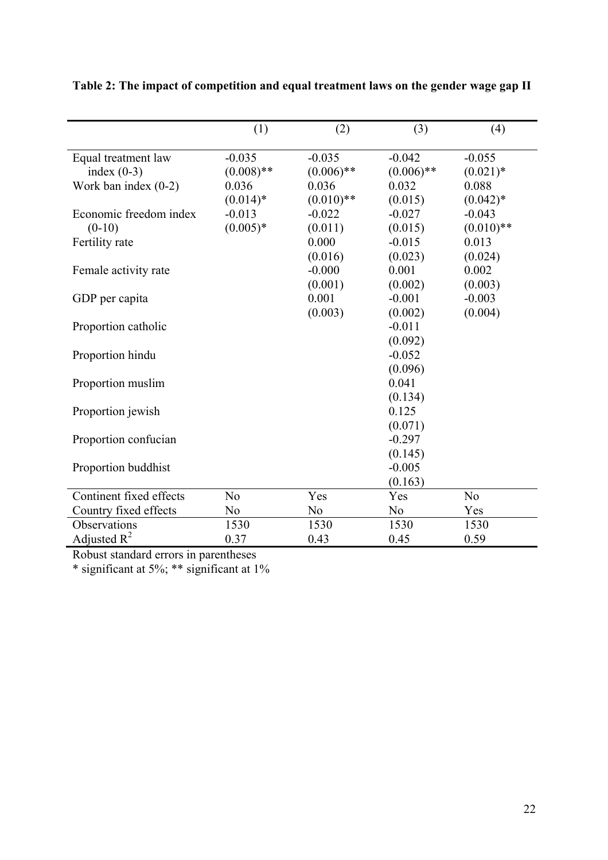|                         | (1)            | (2)            | (3)            | (4)            |
|-------------------------|----------------|----------------|----------------|----------------|
| Equal treatment law     | $-0.035$       | $-0.035$       | $-0.042$       | $-0.055$       |
| index $(0-3)$           | $(0.008)$ **   | $(0.006)$ **   | $(0.006)$ **   | $(0.021)$ *    |
| Work ban index $(0-2)$  | 0.036          | 0.036          | 0.032          | 0.088          |
|                         | $(0.014)$ *    | $(0.010)**$    | (0.015)        | $(0.042)^*$    |
| Economic freedom index  | $-0.013$       | $-0.022$       | $-0.027$       | $-0.043$       |
| $(0-10)$                | $(0.005)*$     | (0.011)        | (0.015)        | $(0.010)$ **   |
| Fertility rate          |                | 0.000          | $-0.015$       | 0.013          |
|                         |                | (0.016)        | (0.023)        | (0.024)        |
| Female activity rate    |                | $-0.000$       | 0.001          | 0.002          |
|                         |                | (0.001)        | (0.002)        | (0.003)        |
| GDP per capita          |                | 0.001          | $-0.001$       | $-0.003$       |
|                         |                | (0.003)        | (0.002)        | (0.004)        |
| Proportion catholic     |                |                | $-0.011$       |                |
|                         |                |                | (0.092)        |                |
| Proportion hindu        |                |                | $-0.052$       |                |
|                         |                |                | (0.096)        |                |
| Proportion muslim       |                |                | 0.041          |                |
|                         |                |                | (0.134)        |                |
| Proportion jewish       |                |                | 0.125          |                |
|                         |                |                | (0.071)        |                |
| Proportion confucian    |                |                | $-0.297$       |                |
|                         |                |                | (0.145)        |                |
| Proportion buddhist     |                |                | $-0.005$       |                |
|                         |                |                | (0.163)        |                |
| Continent fixed effects | N <sub>o</sub> | Yes            | Yes            | N <sub>o</sub> |
| Country fixed effects   | N <sub>0</sub> | N <sub>0</sub> | N <sub>o</sub> | Yes            |
| Observations            | 1530           | 1530           | 1530           | 1530           |
| Adjusted $R^2$          | 0.37           | 0.43           | 0.45           | 0.59           |

**Table 2: The impact of competition and equal treatment laws on the gender wage gap II** 

Robust standard errors in parentheses

\* significant at 5%; \*\* significant at 1%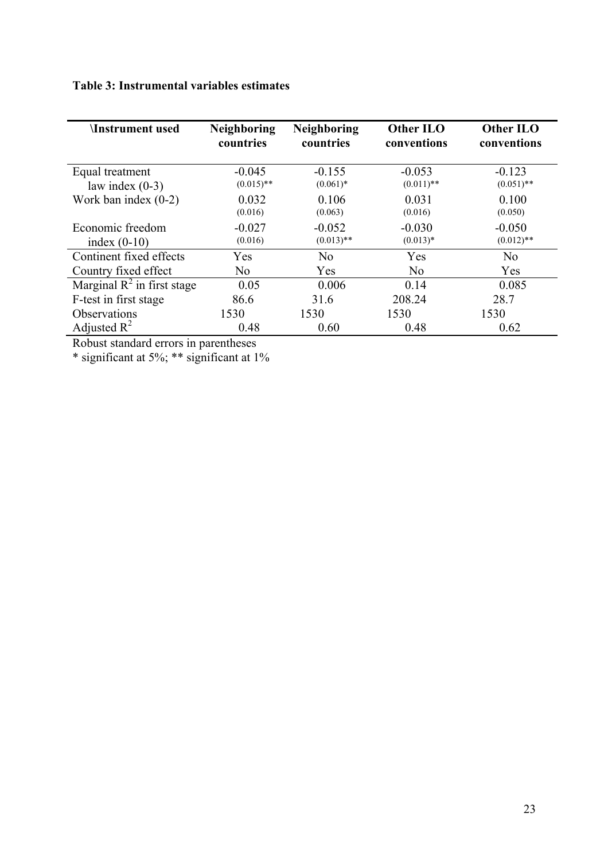# **Table 3: Instrumental variables estimates**

| <b>Instrument used</b>        | <b>Neighboring</b><br>countries | <b>Neighboring</b><br>countries | Other ILO<br>conventions | Other ILO<br>conventions |
|-------------------------------|---------------------------------|---------------------------------|--------------------------|--------------------------|
| Equal treatment               | $-0.045$                        | $-0.155$                        | $-0.053$                 | $-0.123$                 |
| law index $(0-3)$             | $(0.015)$ **                    | $(0.061)*$                      | $(0.011)$ **             | $(0.051)$ **             |
| Work ban index $(0-2)$        | 0.032                           | 0.106                           | 0.031                    | 0.100                    |
|                               | (0.016)                         | (0.063)                         | (0.016)                  | (0.050)                  |
| Economic freedom              | $-0.027$                        | $-0.052$                        | $-0.030$                 | $-0.050$                 |
| index $(0-10)$                | (0.016)                         | $(0.013)$ **                    | $(0.013)*$               | $(0.012)$ **             |
| Continent fixed effects       | Yes                             | N <sub>0</sub>                  | Yes                      | N <sub>0</sub>           |
| Country fixed effect          | No                              | Yes                             | No                       | Yes                      |
| Marginal $R^2$ in first stage | 0.05                            | 0.006                           | 0.14                     | 0.085                    |
| F-test in first stage         | 86.6                            | 31.6                            | 208.24                   | 28.7                     |
| Observations                  | 1530                            | 1530                            | 1530                     | 1530                     |
| Adjusted $R^2$                | 0.48                            | 0.60                            | 0.48                     | 0.62                     |

Robust standard errors in parentheses

\* significant at 5%; \*\* significant at 1%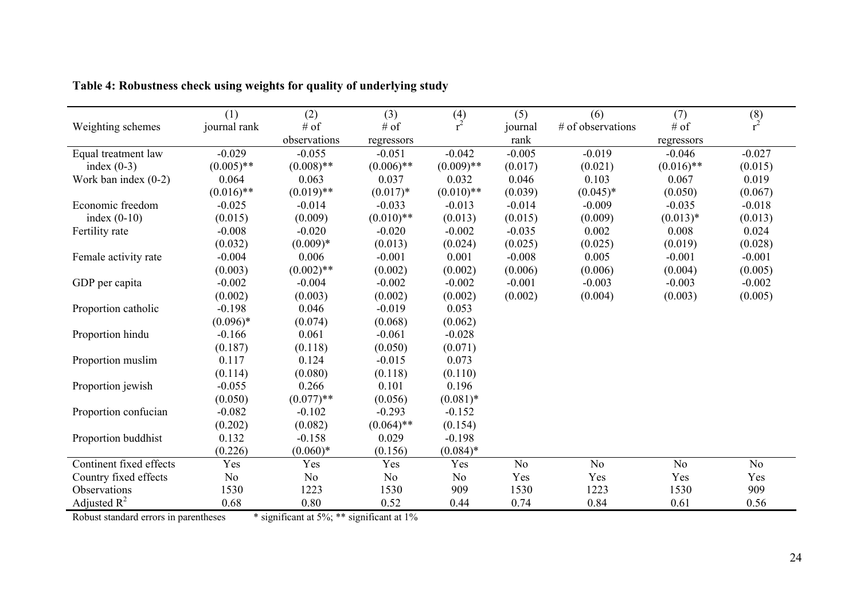|                         | (1)            | (2)            | (3)            | $\binom{4}{r^2}$ | (5)            | (6)               | (7)            | $\binom{8}{r^2}$ |
|-------------------------|----------------|----------------|----------------|------------------|----------------|-------------------|----------------|------------------|
| Weighting schemes       | journal rank   | # of           | # of           |                  | journal        | # of observations | # of           |                  |
|                         |                | observations   | regressors     |                  | rank           |                   | regressors     |                  |
| Equal treatment law     | $-0.029$       | $-0.055$       | $-0.051$       | $-0.042$         | $-0.005$       | $-0.019$          | $-0.046$       | $-0.027$         |
| index $(0-3)$           | $(0.005)$ **   | $(0.008)$ **   | $(0.006)$ **   | $(0.009)$ **     | (0.017)        | (0.021)           | $(0.016)$ **   | (0.015)          |
| Work ban index $(0-2)$  | 0.064          | 0.063          | 0.037          | 0.032            | 0.046          | 0.103             | 0.067          | 0.019            |
|                         | $(0.016)$ **   | $(0.019)$ **   | $(0.017)*$     | $(0.010)**$      | (0.039)        | $(0.045)*$        | (0.050)        | (0.067)          |
| Economic freedom        | $-0.025$       | $-0.014$       | $-0.033$       | $-0.013$         | $-0.014$       | $-0.009$          | $-0.035$       | $-0.018$         |
| index $(0-10)$          | (0.015)        | (0.009)        | $(0.010)**$    | (0.013)          | (0.015)        | (0.009)           | $(0.013)*$     | (0.013)          |
| Fertility rate          | $-0.008$       | $-0.020$       | $-0.020$       | $-0.002$         | $-0.035$       | 0.002             | 0.008          | 0.024            |
|                         | (0.032)        | $(0.009)*$     | (0.013)        | (0.024)          | (0.025)        | (0.025)           | (0.019)        | (0.028)          |
| Female activity rate    | $-0.004$       | 0.006          | $-0.001$       | 0.001            | $-0.008$       | 0.005             | $-0.001$       | $-0.001$         |
|                         | (0.003)        | $(0.002)$ **   | (0.002)        | (0.002)          | (0.006)        | (0.006)           | (0.004)        | (0.005)          |
| GDP per capita          | $-0.002$       | $-0.004$       | $-0.002$       | $-0.002$         | $-0.001$       | $-0.003$          | $-0.003$       | $-0.002$         |
|                         | (0.002)        | (0.003)        | (0.002)        | (0.002)          | (0.002)        | (0.004)           | (0.003)        | (0.005)          |
| Proportion catholic     | $-0.198$       | 0.046          | $-0.019$       | 0.053            |                |                   |                |                  |
|                         | $(0.096)*$     | (0.074)        | (0.068)        | (0.062)          |                |                   |                |                  |
| Proportion hindu        | $-0.166$       | 0.061          | $-0.061$       | $-0.028$         |                |                   |                |                  |
|                         | (0.187)        | (0.118)        | (0.050)        | (0.071)          |                |                   |                |                  |
| Proportion muslim       | 0.117          | 0.124          | $-0.015$       | 0.073            |                |                   |                |                  |
|                         | (0.114)        | (0.080)        | (0.118)        | (0.110)          |                |                   |                |                  |
| Proportion jewish       | $-0.055$       | 0.266          | 0.101          | 0.196            |                |                   |                |                  |
|                         | (0.050)        | $(0.077)$ **   | (0.056)        | $(0.081)$ *      |                |                   |                |                  |
| Proportion confucian    | $-0.082$       | $-0.102$       | $-0.293$       | $-0.152$         |                |                   |                |                  |
|                         | (0.202)        | (0.082)        | $(0.064)$ **   | (0.154)          |                |                   |                |                  |
| Proportion buddhist     | 0.132          | $-0.158$       | 0.029          | $-0.198$         |                |                   |                |                  |
|                         | (0.226)        | $(0.060)*$     | (0.156)        | $(0.084)$ *      |                |                   |                |                  |
| Continent fixed effects | Yes            | Yes            | Yes            | Yes              | N <sub>o</sub> | N <sub>0</sub>    | N <sub>0</sub> | N <sub>o</sub>   |
| Country fixed effects   | N <sub>0</sub> | N <sub>o</sub> | N <sub>0</sub> | N <sub>0</sub>   | Yes            | Yes               | Yes            | Yes              |
| Observations            | 1530           | 1223           | 1530           | 909              | 1530           | 1223              | 1530           | 909              |
| Adjusted $R^2$          | 0.68           | 0.80           | 0.52           | 0.44             | 0.74           | 0.84              | 0.61           | 0.56             |

**Table 4: Robustness check using weights for quality of underlying study** 

Robust standard errors in parentheses  $*$  significant at  $5\%$ ; \*\* significant at  $1\%$